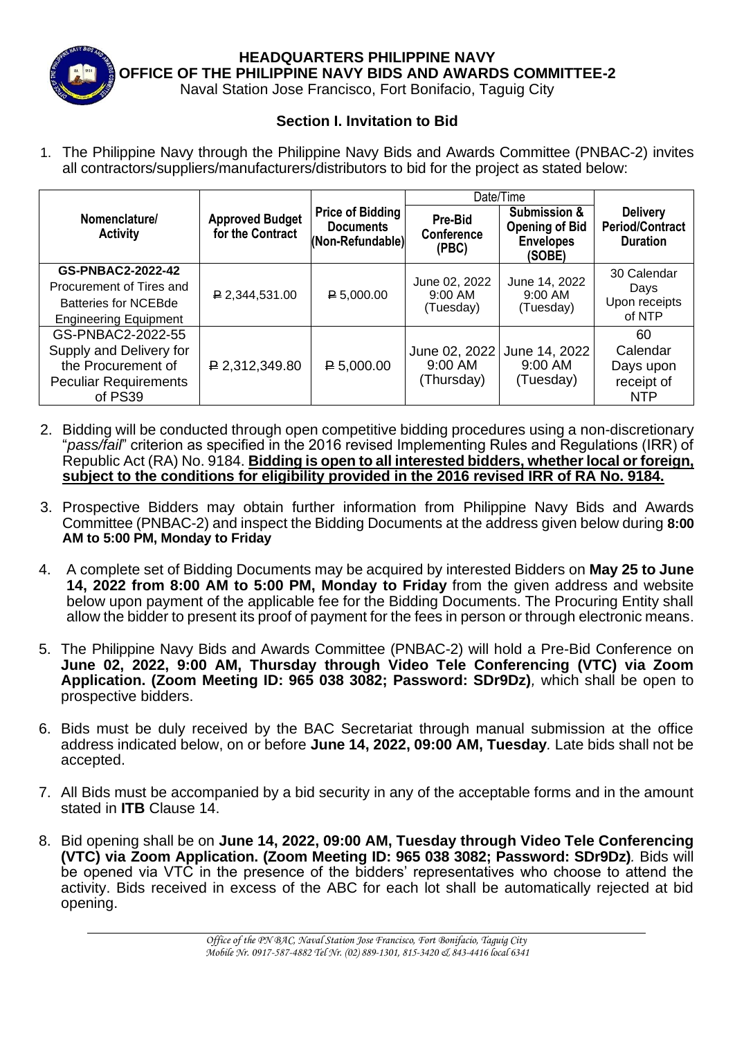

**HEADQUARTERS PHILIPPINE NAVY OFFICE OF THE PHILIPPINE NAVY BIDS AND AWARDS COMMITTEE-2**

Naval Station Jose Francisco, Fort Bonifacio, Taguig City

## **Section I. Invitation to Bid**

1. The Philippine Navy through the Philippine Navy Bids and Awards Committee (PNBAC-2) invites all contractors/suppliers/manufacturers/distributors to bid for the project as stated below:

|                                                                                                               | <b>Approved Budget</b><br>for the Contract | <b>Price of Bidding</b><br><b>Documents</b><br>(Non-Refundable) | Date/Time                              |                                                                                |                                                              |
|---------------------------------------------------------------------------------------------------------------|--------------------------------------------|-----------------------------------------------------------------|----------------------------------------|--------------------------------------------------------------------------------|--------------------------------------------------------------|
| Nomenclature/<br><b>Activity</b>                                                                              |                                            |                                                                 | Pre-Bid<br><b>Conference</b><br>(PBC)  | <b>Submission &amp;</b><br><b>Opening of Bid</b><br><b>Envelopes</b><br>(SOBE) | <b>Delivery</b><br><b>Period/Contract</b><br><b>Duration</b> |
| GS-PNBAC2-2022-42<br>Procurement of Tires and<br><b>Batteries for NCEBde</b><br><b>Engineering Equipment</b>  | $P$ 2,344,531.00                           | $P = 5,000.00$                                                  | June 02, 2022<br>9:00 AM<br>(Tuesday)  | June 14, 2022<br>$9:00$ AM<br>(Tuesday)                                        | 30 Calendar<br>Days<br>Upon receipts<br>of NTP               |
| GS-PNBAC2-2022-55<br>Supply and Delivery for<br>the Procurement of<br><b>Peculiar Requirements</b><br>of PS39 | $P$ 2,312,349.80                           | $P = 5,000.00$                                                  | June 02, 2022<br>9:00 AM<br>(Thursday) | June 14, 2022<br>$9:00$ AM<br>(Tuesday)                                        | 60<br>Calendar<br>Days upon<br>receipt of<br><b>NTP</b>      |

- 2. Bidding will be conducted through open competitive bidding procedures using a non-discretionary "*pass/fail*" criterion as specified in the 2016 revised Implementing Rules and Regulations (IRR) of Republic Act (RA) No. 9184. **Bidding is open to all interested bidders, whether local or foreign, subject to the conditions for eligibility provided in the 2016 revised IRR of RA No. 9184.**
- 3. Prospective Bidders may obtain further information from Philippine Navy Bids and Awards Committee (PNBAC-2) and inspect the Bidding Documents at the address given below during **8:00 AM to 5:00 PM, Monday to Friday**
- 4. A complete set of Bidding Documents may be acquired by interested Bidders on **May 25 to June 14, 2022 from 8:00 AM to 5:00 PM, Monday to Friday** from the given address and website below upon payment of the applicable fee for the Bidding Documents. The Procuring Entity shall allow the bidder to present its proof of payment for the fees in person or through electronic means.
- 5. The Philippine Navy Bids and Awards Committee (PNBAC-2) will hold a Pre-Bid Conference on **June 02, 2022, 9:00 AM, Thursday through Video Tele Conferencing (VTC) via Zoom Application. (Zoom Meeting ID: 965 038 3082; Password: SDr9Dz)***,* which shall be open to prospective bidders.
- 6. Bids must be duly received by the BAC Secretariat through manual submission at the office address indicated below, on or before **June 14, 2022, 09:00 AM, Tuesday***.* Late bids shall not be accepted.
- 7. All Bids must be accompanied by a bid security in any of the acceptable forms and in the amount stated in **ITB** Clause 14.
- 8. Bid opening shall be on **June 14, 2022, 09:00 AM, Tuesday through Video Tele Conferencing (VTC) via Zoom Application. (Zoom Meeting ID: 965 038 3082; Password: SDr9Dz)***.* Bids will be opened via VTC in the presence of the bidders' representatives who choose to attend the activity. Bids received in excess of the ABC for each lot shall be automatically rejected at bid opening.